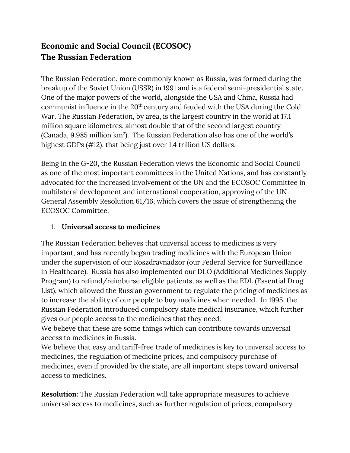## **Economic and Social Council (ECOSOC) The Russian Federation**

The Russian Federation, more commonly known as Russia, was formed during the breakup of the Soviet Union (USSR) in 1991 and is a federal semi-presidential state. One of the major powers of the world, alongside the USA and China, Russia had communist influence in the 20<sup>th</sup> century and feuded with the USA during the Cold War. The Russian Federation, by area, is the largest country in the world at 17.1 million square kilometres, almost double that of the second largest country (Canada,  $9.985$  million  $km^2$ ). The Russian Federation also has one of the world's highest GDPs (#12), that being just over 1.4 trillion US dollars.

Being in the G-20, the Russian Federation views the Economic and Social Council as one of the most important committees in the United Nations, and has constantly advocated for the increased involvement of the UN and the ECOSOC Committee in multilateral development and international cooperation, approving of the UN General Assembly Resolution 61/16, which covers the issue of strengthening the ECOSOC Committee.

## 1. **Universal access to medicines**

The Russian Federation believes that universal access to medicines is very important, and has recently began trading medicines with the European Union under the supervision of our Roszdravnadzor (our Federal Service for Surveillance in Healthcare). Russia has also implemented our DLO (Additional Medicines Supply Program) to refund/reimburse eligible patients, as well as the EDL (Essential Drug List), which allowed the Russian government to regulate the pricing of medicines as to increase the ability of our people to buy medicines when needed. In 1995, the Russian Federation introduced compulsory state medical insurance, which further gives our people access to the medicines that they need.

We believe that these are some things which can contribute towards universal access to medicines in Russia.

We believe that easy and tariff-free trade of medicines is key to universal access to medicines, the regulation of medicine prices, and compulsory purchase of medicines, even if provided by the state, are all important steps toward universal access to medicines.

**Resolution:** The Russian Federation will take appropriate measures to achieve universal access to medicines, such as further regulation of prices, compulsory